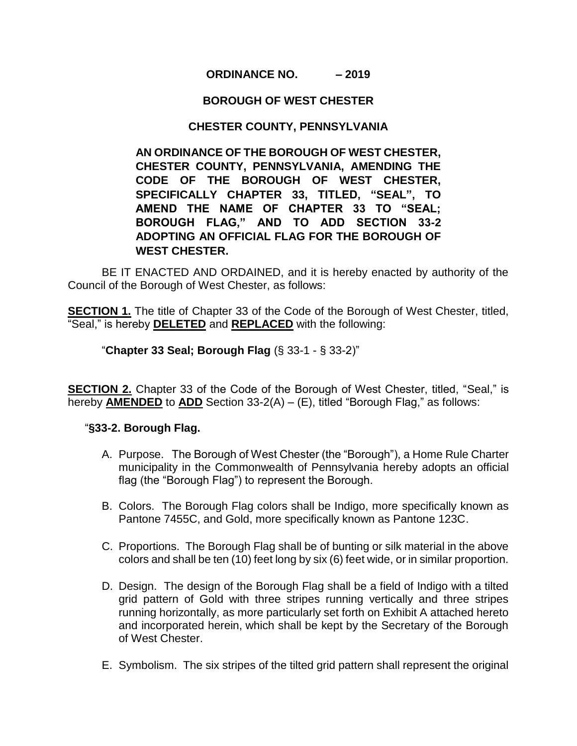## **ORDINANCE NO. – 2019**

### **BOROUGH OF WEST CHESTER**

## **CHESTER COUNTY, PENNSYLVANIA**

**AN ORDINANCE OF THE BOROUGH OF WEST CHESTER, CHESTER COUNTY, PENNSYLVANIA, AMENDING THE CODE OF THE BOROUGH OF WEST CHESTER, SPECIFICALLY CHAPTER 33, TITLED, "SEAL", TO AMEND THE NAME OF CHAPTER 33 TO "SEAL; BOROUGH FLAG," AND TO ADD SECTION 33-2 ADOPTING AN OFFICIAL FLAG FOR THE BOROUGH OF WEST CHESTER.** 

BE IT ENACTED AND ORDAINED, and it is hereby enacted by authority of the Council of the Borough of West Chester, as follows:

**SECTION 1.** The title of Chapter 33 of the Code of the Borough of West Chester, titled, "Seal," is hereby **DELETED** and **REPLACED** with the following:

"**Chapter 33 Seal; Borough Flag** (§ 33-1 - § 33-2)"

**SECTION 2.** Chapter 33 of the Code of the Borough of West Chester, titled, "Seal," is hereby **AMENDED** to **ADD** Section 33-2(A) – (E), titled "Borough Flag," as follows:

#### "**§33-2. Borough Flag.**

- A. Purpose. The Borough of West Chester (the "Borough"), a Home Rule Charter municipality in the Commonwealth of Pennsylvania hereby adopts an official flag (the "Borough Flag") to represent the Borough.
- B. Colors. The Borough Flag colors shall be Indigo, more specifically known as Pantone 7455C, and Gold, more specifically known as Pantone 123C.
- C. Proportions. The Borough Flag shall be of bunting or silk material in the above colors and shall be ten (10) feet long by six (6) feet wide, or in similar proportion.
- D. Design. The design of the Borough Flag shall be a field of Indigo with a tilted grid pattern of Gold with three stripes running vertically and three stripes running horizontally, as more particularly set forth on Exhibit A attached hereto and incorporated herein, which shall be kept by the Secretary of the Borough of West Chester.
- E. Symbolism. The six stripes of the tilted grid pattern shall represent the original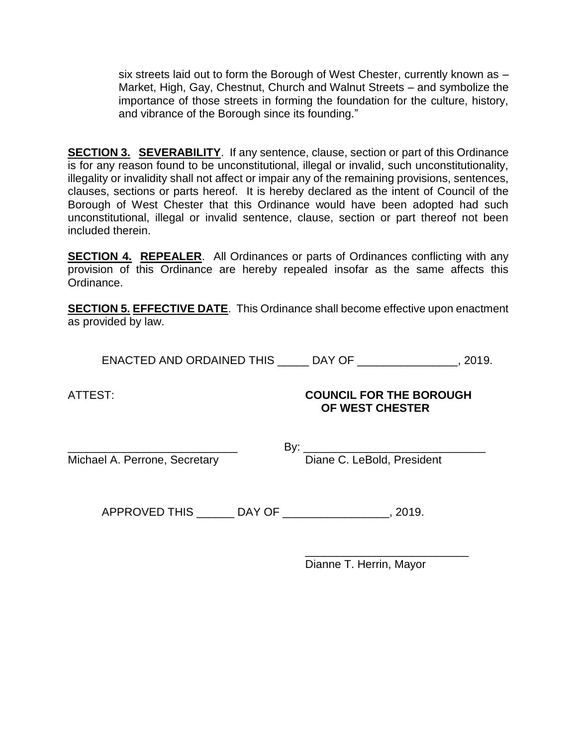six streets laid out to form the Borough of West Chester, currently known as – Market, High, Gay, Chestnut, Church and Walnut Streets – and symbolize the importance of those streets in forming the foundation for the culture, history, and vibrance of the Borough since its founding."

**SECTION 3. SEVERABILITY**. If any sentence, clause, section or part of this Ordinance is for any reason found to be unconstitutional, illegal or invalid, such unconstitutionality, illegality or invalidity shall not affect or impair any of the remaining provisions, sentences, clauses, sections or parts hereof. It is hereby declared as the intent of Council of the Borough of West Chester that this Ordinance would have been adopted had such unconstitutional, illegal or invalid sentence, clause, section or part thereof not been included therein.

**SECTION 4. REPEALER**. All Ordinances or parts of Ordinances conflicting with any provision of this Ordinance are hereby repealed insofar as the same affects this Ordinance.

**SECTION 5. EFFECTIVE DATE**. This Ordinance shall become effective upon enactment as provided by law.

ENACTED AND ORDAINED THIS \_\_\_\_\_ DAY OF \_\_\_\_\_\_\_\_\_\_\_\_\_\_\_\_, 2019.

# ATTEST: **COUNCIL FOR THE BOROUGH OF WEST CHESTER**

Michael A. Perrone, Secretary

\_\_\_\_\_\_\_\_\_\_\_\_\_\_\_\_\_\_\_\_\_\_\_\_\_\_\_ By: \_\_\_\_\_\_\_\_\_\_\_\_\_\_\_\_\_\_\_\_\_\_\_\_\_\_\_\_\_

APPROVED THIS \_\_\_\_\_\_ DAY OF \_\_\_\_\_\_\_\_\_\_\_\_\_\_\_\_\_, 2019.

\_\_\_\_\_\_\_\_\_\_\_\_\_\_\_\_\_\_\_\_\_\_\_\_\_\_ Dianne T. Herrin, Mayor